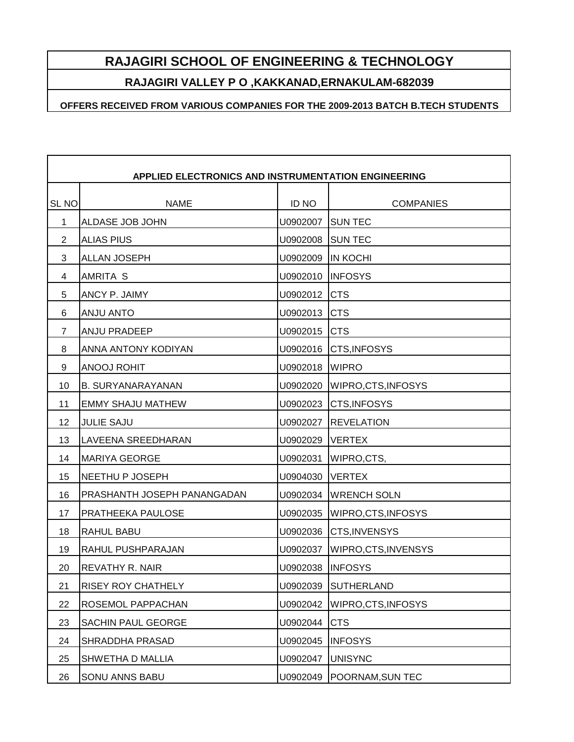## **RAJAGIRI SCHOOL OF ENGINEERING & TECHNOLOGY**

**RAJAGIRI VALLEY P O ,KAKKANAD,ERNAKULAM-682039**

**OFFERS RECEIVED FROM VARIOUS COMPANIES FOR THE 2009-2013 BATCH B.TECH STUDENTS**

| <b>APPLIED ELECTRONICS AND INSTRUMENTATION ENGINEERING</b> |                             |              |                          |  |
|------------------------------------------------------------|-----------------------------|--------------|--------------------------|--|
| SL <sub>NO</sub>                                           | <b>NAME</b>                 | <b>ID NO</b> | <b>COMPANIES</b>         |  |
| 1                                                          | ALDASE JOB JOHN             | U0902007     | <b>SUN TEC</b>           |  |
| 2                                                          | <b>ALIAS PIUS</b>           | U0902008     | <b>SUN TEC</b>           |  |
| 3                                                          | <b>ALLAN JOSEPH</b>         | U0902009     | <b>IN KOCHI</b>          |  |
| 4                                                          | AMRITA S                    | U0902010     | <b>INFOSYS</b>           |  |
| 5                                                          | ANCY P. JAIMY               | U0902012     | <b>CTS</b>               |  |
| 6                                                          | ANJU ANTO                   | U0902013     | <b>CTS</b>               |  |
| 7                                                          | <b>ANJU PRADEEP</b>         | U0902015     | <b>CTS</b>               |  |
| 8                                                          | ANNA ANTONY KODIYAN         | U0902016     | <b>CTS, INFOSYS</b>      |  |
| 9                                                          | ANOOJ ROHIT                 | U0902018     | <b>WIPRO</b>             |  |
| 10                                                         | <b>B. SURYANARAYANAN</b>    | U0902020     | <b>WIPRO,CTS,INFOSYS</b> |  |
| 11                                                         | <b>EMMY SHAJU MATHEW</b>    | U0902023     | <b>CTS, INFOSYS</b>      |  |
| 12                                                         | <b>JULIE SAJU</b>           | U0902027     | <b>REVELATION</b>        |  |
| 13                                                         | LAVEENA SREEDHARAN          | U0902029     | <b>VERTEX</b>            |  |
| 14                                                         | <b>MARIYA GEORGE</b>        | U0902031     | WIPRO, CTS,              |  |
| 15                                                         | NEETHU P JOSEPH             | U0904030     | <b>VERTEX</b>            |  |
| 16                                                         | PRASHANTH JOSEPH PANANGADAN | U0902034     | <b>WRENCH SOLN</b>       |  |
| 17                                                         | PRATHEEKA PAULOSE           | U0902035     | WIPRO, CTS, INFOSYS      |  |
| 18                                                         | RAHUL BABU                  | U0902036     | <b>CTS, INVENSYS</b>     |  |
| 19                                                         | RAHUL PUSHPARAJAN           | U0902037     | WIPRO, CTS, INVENSYS     |  |
| 20                                                         | REVATHY R. NAIR             | U0902038     | <b>INFOSYS</b>           |  |
| 21                                                         | RISEY ROY CHATHELY          | U0902039     | <b>SUTHERLAND</b>        |  |
| 22                                                         | ROSEMOL PAPPACHAN           | U0902042     | WIPRO, CTS, INFOSYS      |  |
| 23                                                         | SACHIN PAUL GEORGE          | U0902044     | <b>CTS</b>               |  |
| 24                                                         | SHRADDHA PRASAD             | U0902045     | <b>INFOSYS</b>           |  |
| 25                                                         | SHWETHA D MALLIA            | U0902047     | <b>UNISYNC</b>           |  |
| 26                                                         | SONU ANNS BABU              | U0902049     | POORNAM, SUN TEC         |  |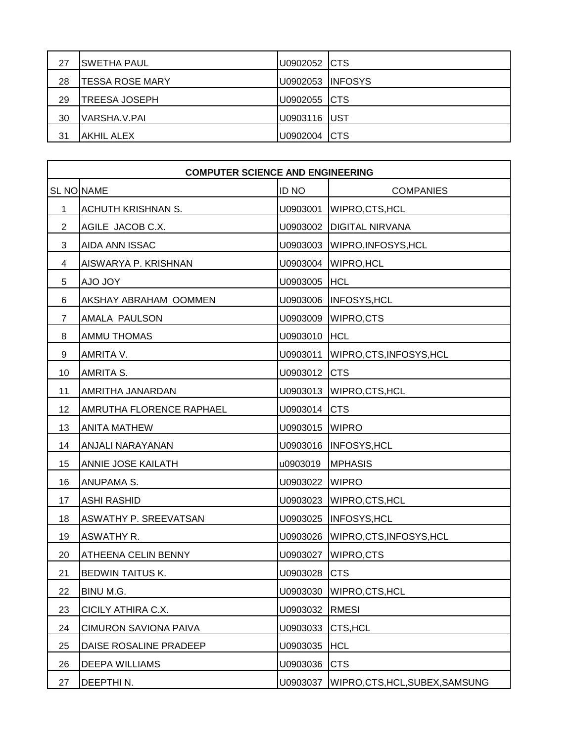| 27 | <b>SWETHA PAUL</b>     | U0902052 CTS            |  |
|----|------------------------|-------------------------|--|
| 28 | <b>TESSA ROSE MARY</b> | <b>U0902053 INFOSYS</b> |  |
| 29 | <b>TREESA JOSEPH</b>   | U0902055 CTS            |  |
| 30 | VARSHA.V.PAI           | U0903116 UST            |  |
| 31 | <b>IAKHIL ALEX</b>     | U0902004 CTS            |  |

|                | <b>COMPUTER SCIENCE AND ENGINEERING</b> |                |                                 |  |
|----------------|-----------------------------------------|----------------|---------------------------------|--|
|                | SL NO NAME                              | <b>ID NO</b>   | <b>COMPANIES</b>                |  |
| 1              | ACHUTH KRISHNAN S.                      | U0903001       | WIPRO, CTS, HCL                 |  |
| 2              | AGILE JACOB C.X.                        |                | U0903002   DIGITAL NIRVANA      |  |
| 3              | AIDA ANN ISSAC                          | U0903003       | WIPRO, INFOSYS, HCL             |  |
| 4              | AISWARYA P. KRISHNAN                    | U0903004       | <b>WIPRO, HCL</b>               |  |
| 5              | <b>YOL OLA</b>                          | U0903005       | <b>HCL</b>                      |  |
| 6              | AKSHAY ABRAHAM OOMMEN                   |                | U0903006  INFOSYS, HCL          |  |
| $\overline{7}$ | AMALA PAULSON                           | U0903009       | <b>WIPRO,CTS</b>                |  |
| 8              | AMMU THOMAS                             | U0903010       | <b>HCL</b>                      |  |
| 9              | AMRITA V.                               | U0903011       | WIPRO, CTS, INFOSYS, HCL        |  |
| 10             | AMRITA S.                               | U0903012       | <b>CTS</b>                      |  |
| 11             | AMRITHA JANARDAN                        |                | U0903013 WIPRO, CTS, HCL        |  |
| 12             | AMRUTHA FLORENCE RAPHAEL                | U0903014 CTS   |                                 |  |
| 13             | <b>ANITA MATHEW</b>                     | U0903015 WIPRO |                                 |  |
| 14             | ANJALI NARAYANAN                        |                | U0903016  INFOSYS, HCL          |  |
| 15             | ANNIE JOSE KAILATH                      | u0903019       | <b>MPHASIS</b>                  |  |
| 16             | ANUPAMA S.                              | U0903022 WIPRO |                                 |  |
| 17             | <b>ASHI RASHID</b>                      |                | U0903023 WIPRO, CTS, HCL        |  |
| 18             | ASWATHY P. SREEVATSAN                   |                | U0903025  INFOSYS, HCL          |  |
| 19             | <b>ASWATHY R.</b>                       | U0903026       | WIPRO, CTS, INFOSYS, HCL        |  |
| 20             | <b>ATHEENA CELIN BENNY</b>              | U0903027       | <b>WIPRO,CTS</b>                |  |
| 21             | BEDWIN TAITUS K.                        | U0903028       | <b>CTS</b>                      |  |
| 22             | BINU M.G.                               | U0903030       | WIPRO, CTS, HCL                 |  |
| 23             | CICILY ATHIRA C.X.                      | U0903032       | <b>RMESI</b>                    |  |
| 24             | <b>CIMURON SAVIONA PAIVA</b>            | U0903033       | CTS, HCL                        |  |
| 25             | DAISE ROSALINE PRADEEP                  | U0903035       | <b>HCL</b>                      |  |
| 26             | DEEPA WILLIAMS                          | U0903036       | <b>CTS</b>                      |  |
| 27             | DEEPTHIN.                               | U0903037       | WIPRO, CTS, HCL, SUBEX, SAMSUNG |  |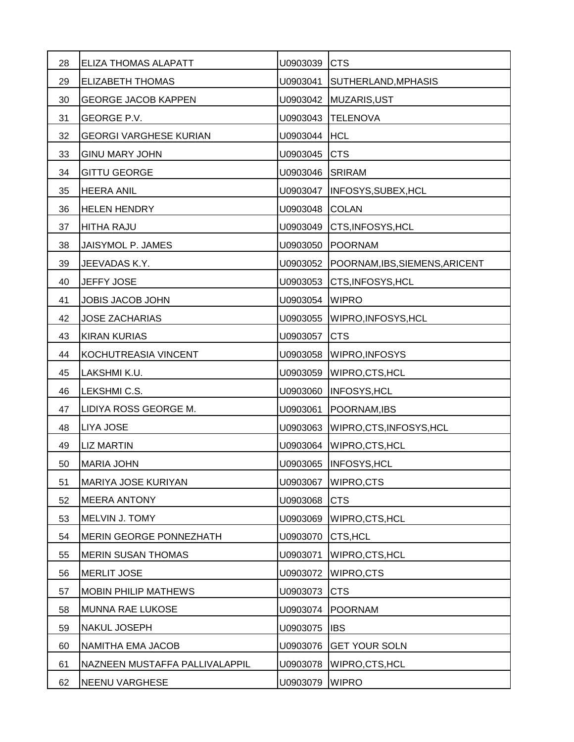| 28 | ELIZA THOMAS ALAPATT           | U0903039 | <b>CTS</b>                     |
|----|--------------------------------|----------|--------------------------------|
| 29 | <b>ELIZABETH THOMAS</b>        | U0903041 | SUTHERLAND, MPHASIS            |
| 30 | <b>GEORGE JACOB KAPPEN</b>     | U0903042 | MUZARIS, UST                   |
| 31 | GEORGE P.V.                    | U0903043 | <b>TELENOVA</b>                |
| 32 | <b>GEORGI VARGHESE KURIAN</b>  | U0903044 | <b>HCL</b>                     |
| 33 | <b>GINU MARY JOHN</b>          | U0903045 | <b>CTS</b>                     |
| 34 | <b>GITTU GEORGE</b>            | U0903046 | <b>SRIRAM</b>                  |
| 35 | <b>HEERA ANIL</b>              | U0903047 | INFOSYS, SUBEX, HCL            |
| 36 | <b>HELEN HENDRY</b>            | U0903048 | <b>COLAN</b>                   |
| 37 | <b>HITHA RAJU</b>              | U0903049 | CTS, INFOSYS, HCL              |
| 38 | JAISYMOL P. JAMES              | U0903050 | <b>POORNAM</b>                 |
| 39 | JEEVADAS K.Y.                  | U0903052 | POORNAM, IBS, SIEMENS, ARICENT |
| 40 | JEFFY JOSE                     | U0903053 | CTS, INFOSYS, HCL              |
| 41 | <b>JOBIS JACOB JOHN</b>        | U0903054 | <b>WIPRO</b>                   |
| 42 | <b>JOSE ZACHARIAS</b>          | U0903055 | WIPRO, INFOSYS, HCL            |
| 43 | <b>KIRAN KURIAS</b>            | U0903057 | <b>CTS</b>                     |
| 44 | KOCHUTREASIA VINCENT           | U0903058 | WIPRO, INFOSYS                 |
| 45 | LAKSHMI K.U.                   | U0903059 | WIPRO, CTS, HCL                |
| 46 | LEKSHMI C.S.                   | U0903060 | INFOSYS, HCL                   |
| 47 | LIDIYA ROSS GEORGE M.          | U0903061 | POORNAM, IBS                   |
| 48 | LIYA JOSE                      | U0903063 | WIPRO, CTS, INFOSYS, HCL       |
| 49 | <b>LIZ MARTIN</b>              | U0903064 | WIPRO, CTS, HCL                |
| 50 | <b>MARIA JOHN</b>              | U0903065 | <b>INFOSYS, HCL</b>            |
| 51 | MARIYA JOSE KURIYAN            | U0903067 | WIPRO,CTS                      |
| 52 | <b>MEERA ANTONY</b>            | U0903068 | <b>CTS</b>                     |
| 53 | MELVIN J. TOMY                 | U0903069 | WIPRO, CTS, HCL                |
| 54 | <b>MERIN GEORGE PONNEZHATH</b> | U0903070 | CTS, HCL                       |
| 55 | <b>MERIN SUSAN THOMAS</b>      | U0903071 | WIPRO, CTS, HCL                |
| 56 | <b>MERLIT JOSE</b>             | U0903072 | WIPRO,CTS                      |
| 57 | <b>MOBIN PHILIP MATHEWS</b>    | U0903073 | <b>CTS</b>                     |
| 58 | <b>MUNNA RAE LUKOSE</b>        | U0903074 | <b>POORNAM</b>                 |
| 59 | NAKUL JOSEPH                   | U0903075 | <b>IBS</b>                     |
| 60 | NAMITHA EMA JACOB              | U0903076 | <b>GET YOUR SOLN</b>           |
| 61 | NAZNEEN MUSTAFFA PALLIVALAPPIL | U0903078 | WIPRO, CTS, HCL                |
| 62 | NEENU VARGHESE                 | U0903079 | <b>WIPRO</b>                   |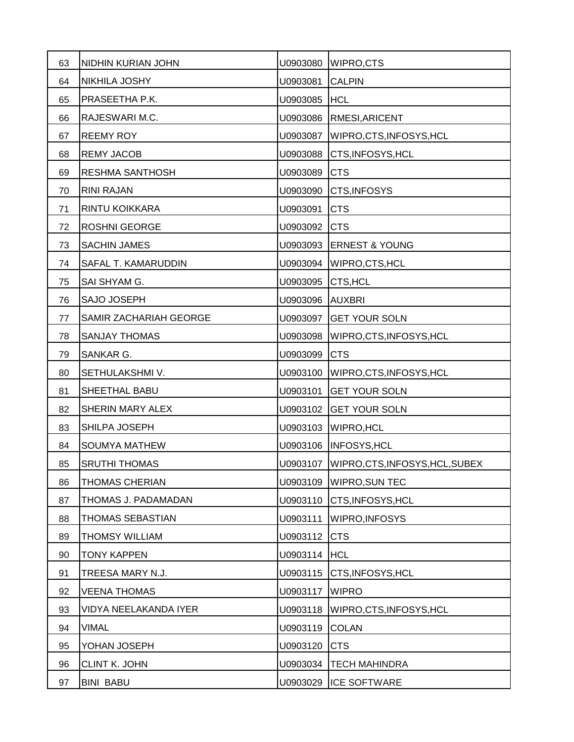| 63 | NIDHIN KURIAN JOHN     | U0903080 | WIPRO,CTS                       |
|----|------------------------|----------|---------------------------------|
| 64 | NIKHILA JOSHY          | U0903081 | <b>CALPIN</b>                   |
| 65 | PRASEETHA P.K.         | U0903085 | <b>HCL</b>                      |
| 66 | RAJESWARI M.C.         | U0903086 | RMESI, ARICENT                  |
| 67 | <b>REEMY ROY</b>       | U0903087 | WIPRO, CTS, INFOSYS, HCL        |
| 68 | <b>REMY JACOB</b>      | U0903088 | CTS, INFOSYS, HCL               |
| 69 | <b>RESHMA SANTHOSH</b> | U0903089 | <b>CTS</b>                      |
| 70 | <b>RINI RAJAN</b>      | U0903090 | CTS, INFOSYS                    |
| 71 | RINTU KOIKKARA         | U0903091 | <b>CTS</b>                      |
| 72 | <b>ROSHNI GEORGE</b>   | U0903092 | <b>CTS</b>                      |
| 73 | SACHIN JAMES           | U0903093 | <b>ERNEST &amp; YOUNG</b>       |
| 74 | SAFAL T. KAMARUDDIN    | U0903094 | WIPRO, CTS, HCL                 |
| 75 | SAI SHYAM G.           | U0903095 | CTS, HCL                        |
| 76 | SAJO JOSEPH            | U0903096 | <b>AUXBRI</b>                   |
| 77 | SAMIR ZACHARIAH GEORGE | U0903097 | <b>GET YOUR SOLN</b>            |
| 78 | <b>SANJAY THOMAS</b>   | U0903098 | WIPRO, CTS, INFOSYS, HCL        |
| 79 | SANKAR G.              | U0903099 | <b>CTS</b>                      |
| 80 | SETHULAKSHMI V.        | U0903100 | WIPRO, CTS, INFOSYS, HCL        |
| 81 | SHEETHAL BABU          | U0903101 | <b>GET YOUR SOLN</b>            |
| 82 | SHERIN MARY ALEX       | U0903102 | <b>GET YOUR SOLN</b>            |
| 83 | SHILPA JOSEPH          | U0903103 | <b>WIPRO, HCL</b>               |
| 84 | <b>SOUMYA MATHEW</b>   | U0903106 | INFOSYS, HCL                    |
| 85 | <b>SRUTHI THOMAS</b>   | U0903107 | WIPRO, CTS, INFOSYS, HCL, SUBEX |
| 86 | THOMAS CHERIAN         | U0903109 | <b>WIPRO, SUN TEC</b>           |
| 87 | THOMAS J. PADAMADAN    | U0903110 | CTS, INFOSYS, HCL               |
| 88 | THOMAS SEBASTIAN       | U0903111 | WIPRO, INFOSYS                  |
| 89 | <b>THOMSY WILLIAM</b>  | U0903112 | <b>CTS</b>                      |
| 90 | <b>TONY KAPPEN</b>     | U0903114 | <b>HCL</b>                      |
| 91 | TREESA MARY N.J.       | U0903115 | CTS, INFOSYS, HCL               |
| 92 | <b>VEENA THOMAS</b>    | U0903117 | <b>WIPRO</b>                    |
| 93 | VIDYA NEELAKANDA IYER  | U0903118 | WIPRO, CTS, INFOSYS, HCL        |
| 94 | <b>VIMAL</b>           | U0903119 | <b>COLAN</b>                    |
| 95 | YOHAN JOSEPH           | U0903120 | <b>CTS</b>                      |
| 96 | CLINT K. JOHN          | U0903034 | <b>TECH MAHINDRA</b>            |
| 97 | <b>BINI BABU</b>       | U0903029 | <b>ICE SOFTWARE</b>             |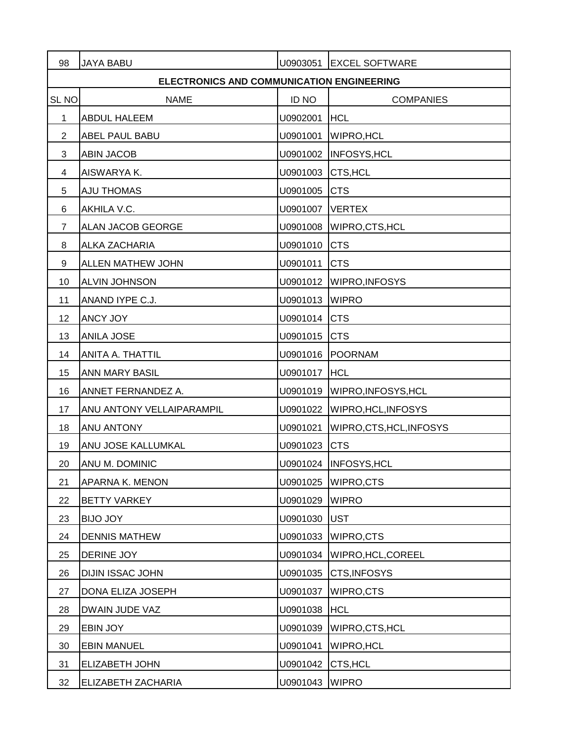| 98               | <b>JAYA BABU</b>                          | U0903051     | <b>EXCEL SOFTWARE</b>          |
|------------------|-------------------------------------------|--------------|--------------------------------|
|                  | ELECTRONICS AND COMMUNICATION ENGINEERING |              |                                |
| SL <sub>NO</sub> | <b>NAME</b>                               | <b>ID NO</b> | <b>COMPANIES</b>               |
| 1                | <b>ABDUL HALEEM</b>                       | U0902001     | <b>HCL</b>                     |
| $\overline{2}$   | ABEL PAUL BABU                            | U0901001     | <b>WIPRO, HCL</b>              |
| 3                | <b>ABIN JACOB</b>                         | U0901002     | <b>INFOSYS, HCL</b>            |
| 4                | AISWARYA K.                               | U0901003     | CTS, HCL                       |
| 5                | <b>AJU THOMAS</b>                         | U0901005     | <b>CTS</b>                     |
| 6                | AKHILA V.C.                               | U0901007     | <b>VERTEX</b>                  |
| $\overline{7}$   | ALAN JACOB GEORGE                         | U0901008     | WIPRO, CTS, HCL                |
| 8                | ALKA ZACHARIA                             | U0901010     | <b>CTS</b>                     |
| 9                | ALLEN MATHEW JOHN                         | U0901011     | <b>CTS</b>                     |
| 10               | ALVIN JOHNSON                             | U0901012     | <b>WIPRO, INFOSYS</b>          |
| 11               | ANAND IYPE C.J.                           | U0901013     | <b>WIPRO</b>                   |
| 12               | ANCY JOY                                  | U0901014     | <b>CTS</b>                     |
| 13               | ANILA JOSE                                | U0901015     | <b>CTS</b>                     |
| 14               | ANITA A. THATTIL                          | U0901016     | POORNAM                        |
| 15               | ANN MARY BASIL                            | U0901017 HCL |                                |
| 16               | ANNET FERNANDEZ A.                        | U0901019     | WIPRO, INFOSYS, HCL            |
| 17               | ANU ANTONY VELLAIPARAMPIL                 |              | U0901022   WIPRO, HCL, INFOSYS |
| 18               | ANU ANTONY                                | U0901021     | WIPRO, CTS, HCL, INFOSYS       |
| 19               | ANU JOSE KALLUMKAL                        | U0901023     | <b>CTS</b>                     |
| 20               | ANU M. DOMINIC                            |              | U0901024   INFOSYS, HCL        |
| 21               | APARNA K. MENON                           | U0901025     | WIPRO,CTS                      |
| 22               | <b>BETTY VARKEY</b>                       | U0901029     | <b>WIPRO</b>                   |
| 23               | <b>BIJO JOY</b>                           | U0901030     | <b>UST</b>                     |
| 24               | <b>DENNIS MATHEW</b>                      | U0901033     | WIPRO,CTS                      |
| 25               | DERINE JOY                                | U0901034     | WIPRO, HCL, COREEL             |
| 26               | DIJIN ISSAC JOHN                          | U0901035     | CTS, INFOSYS                   |
| 27               | DONA ELIZA JOSEPH                         | U0901037     | WIPRO,CTS                      |
| 28               | DWAIN JUDE VAZ                            | U0901038     | <b>HCL</b>                     |
| 29               | EBIN JOY                                  | U0901039     | WIPRO, CTS, HCL                |
| 30               | <b>EBIN MANUEL</b>                        | U0901041     | <b>WIPRO, HCL</b>              |
| 31               | ELIZABETH JOHN                            | U0901042     | CTS, HCL                       |
| 32               | ELIZABETH ZACHARIA                        | U0901043     | <b>WIPRO</b>                   |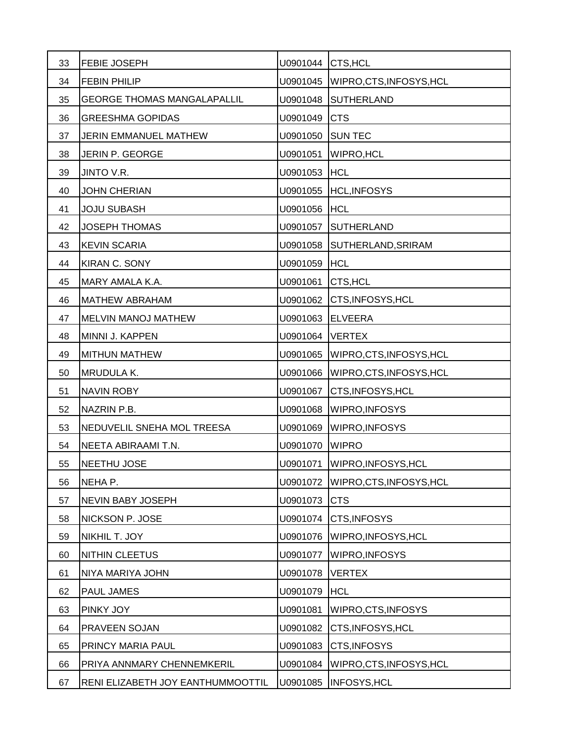| 33 | <b>FEBIE JOSEPH</b>                | U0901044 | CTS, HCL                            |
|----|------------------------------------|----------|-------------------------------------|
| 34 | <b>FEBIN PHILIP</b>                |          | U0901045   WIPRO, CTS, INFOSYS, HCL |
| 35 | <b>GEORGE THOMAS MANGALAPALLIL</b> | U0901048 | <b>SUTHERLAND</b>                   |
| 36 | <b>GREESHMA GOPIDAS</b>            | U0901049 | <b>CTS</b>                          |
| 37 | JERIN EMMANUEL MATHEW              | U0901050 | <b>SUN TEC</b>                      |
| 38 | JERIN P. GEORGE                    | U0901051 | <b>WIPRO, HCL</b>                   |
| 39 | JINTO V.R.                         | U0901053 | <b>HCL</b>                          |
| 40 | <b>JOHN CHERIAN</b>                |          | U0901055 HCL, INFOSYS               |
| 41 | <b>JOJU SUBASH</b>                 | U0901056 | <b>HCL</b>                          |
| 42 | <b>JOSEPH THOMAS</b>               | U0901057 | SUTHERLAND                          |
| 43 | <b>KEVIN SCARIA</b>                | U0901058 | SUTHERLAND, SRIRAM                  |
| 44 | <b>KIRAN C. SONY</b>               | U0901059 | <b>HCL</b>                          |
| 45 | MARY AMALA K.A.                    | U0901061 | CTS, HCL                            |
| 46 | <b>MATHEW ABRAHAM</b>              | U0901062 | CTS, INFOSYS, HCL                   |
| 47 | MELVIN MANOJ MATHEW                | U0901063 | <b>ELVEERA</b>                      |
| 48 | MINNI J. KAPPEN                    | U0901064 | <b>VERTEX</b>                       |
| 49 | <b>MITHUN MATHEW</b>               | U0901065 | WIPRO, CTS, INFOSYS, HCL            |
| 50 | MRUDULA K.                         | U0901066 | WIPRO, CTS, INFOSYS, HCL            |
| 51 | <b>NAVIN ROBY</b>                  | U0901067 | CTS, INFOSYS, HCL                   |
| 52 | NAZRIN P.B.                        | U0901068 | <b>WIPRO, INFOSYS</b>               |
| 53 | NEDUVELIL SNEHA MOL TREESA         | U0901069 | <b>WIPRO, INFOSYS</b>               |
| 54 | NEETA ABIRAAMI T.N.                | U0901070 | <b>WIPRO</b>                        |
| 55 | NEETHU JOSE                        | U0901071 | WIPRO, INFOSYS, HCL                 |
| 56 | NEHA P.                            | U0901072 | WIPRO, CTS, INFOSYS, HCL            |
| 57 | NEVIN BABY JOSEPH                  | U0901073 | <b>CTS</b>                          |
| 58 | NICKSON P. JOSE                    | U0901074 | CTS, INFOSYS                        |
| 59 | NIKHIL T. JOY                      | U0901076 | WIPRO, INFOSYS, HCL                 |
| 60 | NITHIN CLEETUS                     | U0901077 | WIPRO, INFOSYS                      |
| 61 | NIYA MARIYA JOHN                   | U0901078 | <b>VERTEX</b>                       |
| 62 | PAUL JAMES                         | U0901079 | <b>HCL</b>                          |
| 63 | PINKY JOY                          | U0901081 | WIPRO, CTS, INFOSYS                 |
| 64 | PRAVEEN SOJAN                      | U0901082 | CTS, INFOSYS, HCL                   |
| 65 | PRINCY MARIA PAUL                  | U0901083 | CTS, INFOSYS                        |
| 66 | PRIYA ANNMARY CHENNEMKERIL         | U0901084 | WIPRO, CTS, INFOSYS, HCL            |
| 67 | RENI ELIZABETH JOY EANTHUMMOOTTIL  | U0901085 | <b>INFOSYS, HCL</b>                 |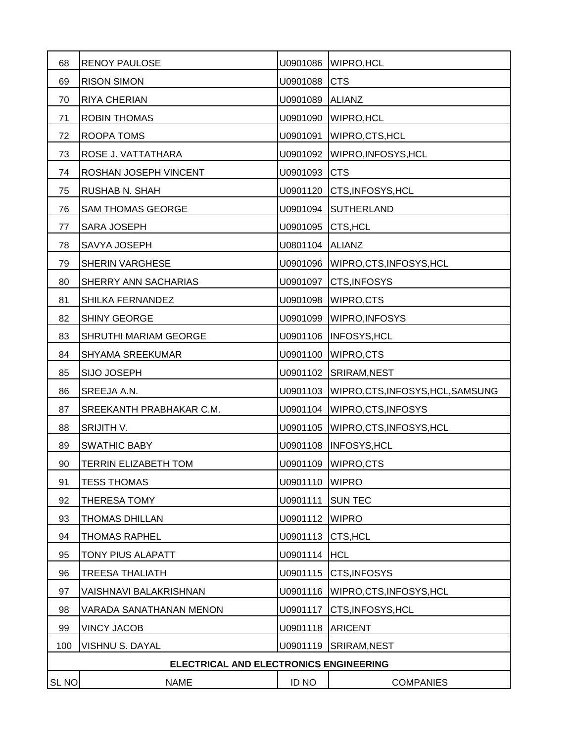| 68               | <b>RENOY PAULOSE</b>                   | U0901086     | <b>WIPRO, HCL</b>                 |
|------------------|----------------------------------------|--------------|-----------------------------------|
| 69               | <b>RISON SIMON</b>                     | U0901088     | <b>CTS</b>                        |
| 70               | RIYA CHERIAN                           | U0901089     | <b>ALIANZ</b>                     |
| 71               | ROBIN THOMAS                           | U0901090     | <b>WIPRO, HCL</b>                 |
| 72               | ROOPA TOMS                             | U0901091     | WIPRO, CTS, HCL                   |
| 73               | ROSE J. VATTATHARA                     | U0901092     | WIPRO, INFOSYS, HCL               |
| 74               | ROSHAN JOSEPH VINCENT                  | U0901093     | <b>CTS</b>                        |
| 75               | RUSHAB N. SHAH                         | U0901120     | CTS, INFOSYS, HCL                 |
| 76               | <b>SAM THOMAS GEORGE</b>               | U0901094     | <b>SUTHERLAND</b>                 |
| 77               | SARA JOSEPH                            | U0901095     | CTS, HCL                          |
| 78               | SAVYA JOSEPH                           | U0801104     | <b>ALIANZ</b>                     |
| 79               | SHERIN VARGHESE                        | U0901096     | WIPRO, CTS, INFOSYS, HCL          |
| 80               | SHERRY ANN SACHARIAS                   | U0901097     | CTS, INFOSYS                      |
| 81               | SHILKA FERNANDEZ                       | U0901098     | WIPRO,CTS                         |
| 82               | <b>SHINY GEORGE</b>                    | U0901099     | WIPRO, INFOSYS                    |
| 83               | SHRUTHI MARIAM GEORGE                  | U0901106     | <b>INFOSYS, HCL</b>               |
| 84               | SHYAMA SREEKUMAR                       | U0901100     | WIPRO,CTS                         |
| 85               | <b>SIJO JOSEPH</b>                     |              | U0901102 SRIRAM, NEST             |
| 86               | SREEJA A.N.                            | U0901103     | WIPRO, CTS, INFOSYS, HCL, SAMSUNG |
| 87               | SREEKANTH PRABHAKAR C.M.               | U0901104     | WIPRO, CTS, INFOSYS               |
| 88               | SRIJITH V.                             | U0901105     | WIPRO, CTS, INFOSYS, HCL          |
| 89               | <b>SWATHIC BABY</b>                    | U0901108     | <b>INFOSYS, HCL</b>               |
| 90               | <b>TERRIN ELIZABETH TOM</b>            | U0901109     | <b>WIPRO,CTS</b>                  |
| 91               | <b>TESS THOMAS</b>                     | U0901110     | <b>WIPRO</b>                      |
| 92               | THERESA TOMY                           | U0901111     | <b>SUN TEC</b>                    |
| 93               | <b>THOMAS DHILLAN</b>                  | U0901112     | <b>WIPRO</b>                      |
| 94               | <b>THOMAS RAPHEL</b>                   | U0901113     | CTS, HCL                          |
| 95               | TONY PIUS ALAPATT                      | U0901114     | <b>HCL</b>                        |
| 96               | <b>TREESA THALIATH</b>                 | U0901115     | CTS, INFOSYS                      |
| 97               | VAISHNAVI BALAKRISHNAN                 | U0901116     | WIPRO, CTS, INFOSYS, HCL          |
| 98               | VARADA SANATHANAN MENON                | U0901117     | CTS, INFOSYS, HCL                 |
| 99               | <b>VINCY JACOB</b>                     | U0901118     | <b>ARICENT</b>                    |
| 100              | VISHNU S. DAYAL                        | U0901119     | SRIRAM, NEST                      |
|                  | ELECTRICAL AND ELECTRONICS ENGINEERING |              |                                   |
| SL <sub>NO</sub> | <b>NAME</b>                            | <b>ID NO</b> | <b>COMPANIES</b>                  |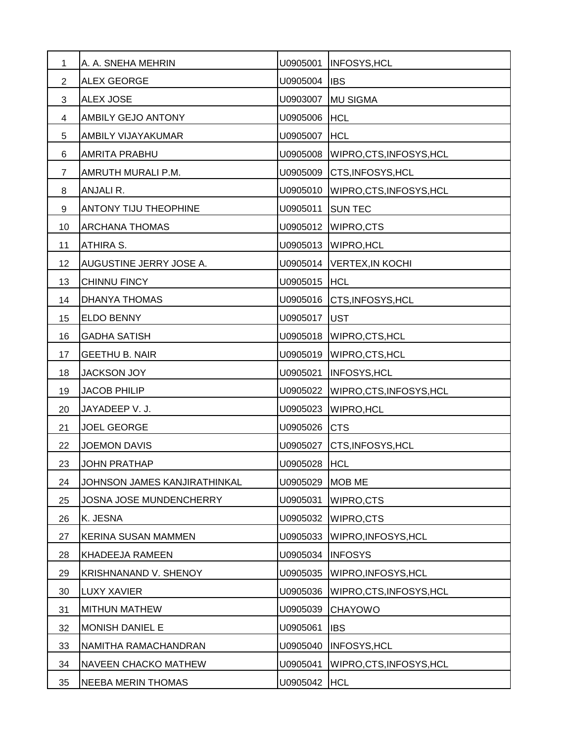| 1              | A. A. SNEHA MEHRIN           | U0905001 | <b>INFOSYS, HCL</b>      |
|----------------|------------------------------|----------|--------------------------|
| $\overline{2}$ | <b>ALEX GEORGE</b>           | U0905004 | <b>IBS</b>               |
| 3              | <b>ALEX JOSE</b>             | U0903007 | <b>MU SIGMA</b>          |
| 4              | AMBILY GEJO ANTONY           | U0905006 | <b>HCL</b>               |
| 5              | AMBILY VIJAYAKUMAR           | U0905007 | <b>HCL</b>               |
| 6              | <b>AMRITA PRABHU</b>         | U0905008 | WIPRO, CTS, INFOSYS, HCL |
| $\overline{7}$ | AMRUTH MURALI P.M.           | U0905009 | CTS, INFOSYS, HCL        |
| 8              | ANJALI R.                    | U0905010 | WIPRO,CTS,INFOSYS,HCL    |
| 9              | ANTONY TIJU THEOPHINE        | U0905011 | <b>SUN TEC</b>           |
| 10             | <b>ARCHANA THOMAS</b>        | U0905012 | <b>WIPRO,CTS</b>         |
| 11             | ATHIRA S.                    | U0905013 | WIPRO, HCL               |
| 12             | AUGUSTINE JERRY JOSE A.      | U0905014 | <b>VERTEX, IN KOCHI</b>  |
| 13             | CHINNU FINCY                 | U0905015 | <b>HCL</b>               |
| 14             | DHANYA THOMAS                | U0905016 | CTS, INFOSYS, HCL        |
| 15             | ELDO BENNY                   | U0905017 | <b>UST</b>               |
| 16             | <b>GADHA SATISH</b>          | U0905018 | WIPRO, CTS, HCL          |
| 17             | <b>GEETHU B. NAIR</b>        | U0905019 | WIPRO, CTS, HCL          |
| 18             | <b>JACKSON JOY</b>           | U0905021 | <b>INFOSYS, HCL</b>      |
| 19             | <b>JACOB PHILIP</b>          | U0905022 | WIPRO, CTS, INFOSYS, HCL |
| 20             | JAYADEEP V. J.               | U0905023 | <b>WIPRO, HCL</b>        |
| 21             | <b>JOEL GEORGE</b>           | U0905026 | <b>CTS</b>               |
| 22             | <b>JOEMON DAVIS</b>          | U0905027 | CTS, INFOSYS, HCL        |
| 23             | <b>JOHN PRATHAP</b>          | U0905028 | <b>HCL</b>               |
| 24             | JOHNSON JAMES KANJIRATHINKAL | U0905029 | <b>MOB ME</b>            |
| 25             | JOSNA JOSE MUNDENCHERRY      | U0905031 | WIPRO,CTS                |
| 26             | K. JESNA                     | U0905032 | WIPRO,CTS                |
| 27             | KERINA SUSAN MAMMEN          | U0905033 | WIPRO, INFOSYS, HCL      |
| 28             | KHADEEJA RAMEEN              | U0905034 | <b>INFOSYS</b>           |
| 29             | KRISHNANAND V. SHENOY        | U0905035 | WIPRO, INFOSYS, HCL      |
| 30             | <b>LUXY XAVIER</b>           | U0905036 | WIPRO, CTS, INFOSYS, HCL |
| 31             | <b>MITHUN MATHEW</b>         | U0905039 | <b>CHAYOWO</b>           |
| 32             | MONISH DANIEL E              | U0905061 | <b>IBS</b>               |
| 33             | NAMITHA RAMACHANDRAN         | U0905040 | INFOSYS, HCL             |
| 34             | NAVEEN CHACKO MATHEW         | U0905041 | WIPRO, CTS, INFOSYS, HCL |
| 35             | <b>NEEBA MERIN THOMAS</b>    | U0905042 | <b>HCL</b>               |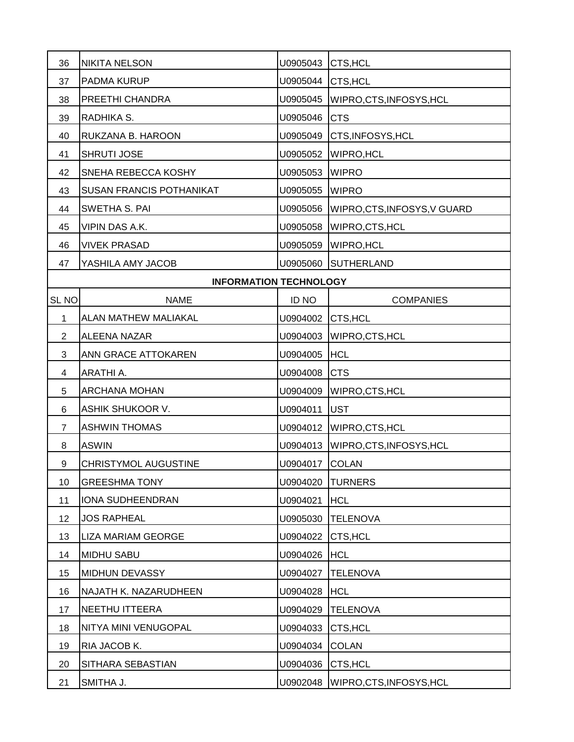| 36               | <b>NIKITA NELSON</b>            | U0905043          | CTS, HCL                  |
|------------------|---------------------------------|-------------------|---------------------------|
| 37               | PADMA KURUP                     | U0905044 CTS, HCL |                           |
| 38               | PREETHI CHANDRA                 | U0905045          | WIPRO, CTS, INFOSYS, HCL  |
| 39               | RADHIKA S.                      | U0905046          | <b>CTS</b>                |
| 40               | RUKZANA B. HAROON               | U0905049          | CTS, INFOSYS, HCL         |
| 41               | <b>SHRUTI JOSE</b>              | U0905052          | <b>WIPRO, HCL</b>         |
| 42               | SNEHA REBECCA KOSHY             | U0905053          | <b>WIPRO</b>              |
| 43               | <b>SUSAN FRANCIS POTHANIKAT</b> | U0905055          | <b>WIPRO</b>              |
| 44               | SWETHA S. PAI                   | U0905056          | WIPRO,CTS,INFOSYS,V GUARD |
| 45               | VIPIN DAS A.K.                  | U0905058          | WIPRO,CTS,HCL             |
| 46               | <b>VIVEK PRASAD</b>             | U0905059          | <b>WIPRO, HCL</b>         |
| 47               | YASHILA AMY JACOB               | U0905060          | <b>SUTHERLAND</b>         |
|                  | <b>INFORMATION TECHNOLOGY</b>   |                   |                           |
| SL <sub>NO</sub> | <b>NAME</b>                     | <b>ID NO</b>      | <b>COMPANIES</b>          |
| 1                | ALAN MATHEW MALIAKAL            | U0904002 CTS, HCL |                           |
| $\overline{2}$   | <b>ALEENA NAZAR</b>             | U0904003          | WIPRO, CTS, HCL           |
| 3                | ANN GRACE ATTOKAREN             | U0904005          | <b>HCL</b>                |
| 4                | ARATHI A.                       | U0904008          | <b>CTS</b>                |
| 5                | ARCHANA MOHAN                   | U0904009          | WIPRO, CTS, HCL           |
| 6                | ASHIK SHUKOOR V.                | U0904011          | <b>UST</b>                |
| $\overline{7}$   | <b>ASHWIN THOMAS</b>            | U0904012          | WIPRO, CTS, HCL           |
| 8                | <b>ASWIN</b>                    | U0904013          | WIPRO, CTS, INFOSYS, HCL  |
| 9                | <b>CHRISTYMOL AUGUSTINE</b>     | U0904017          | <b>COLAN</b>              |
| 10               | <b>GREESHMA TONY</b>            | U0904020          | <b>TURNERS</b>            |
| 11               | <b>IONA SUDHEENDRAN</b>         | U0904021          | <b>HCL</b>                |
| 12               | <b>JOS RAPHEAL</b>              | U0905030          | <b>TELENOVA</b>           |
| 13               | <b>LIZA MARIAM GEORGE</b>       | U0904022          | CTS, HCL                  |
| 14               | <b>MIDHU SABU</b>               | U0904026          | <b>HCL</b>                |
| 15               | MIDHUN DEVASSY                  | U0904027          | <b>TELENOVA</b>           |
| 16               | NAJATH K. NAZARUDHEEN           | U0904028          | <b>HCL</b>                |
| 17               | NEETHU ITTEERA                  | U0904029          | <b>TELENOVA</b>           |
| 18               | NITYA MINI VENUGOPAL            | U0904033          | CTS, HCL                  |
| 19               | RIA JACOB K.                    | U0904034          | <b>COLAN</b>              |
| 20               | SITHARA SEBASTIAN               | U0904036          | CTS, HCL                  |
| 21               | SMITHA J.                       | U0902048          | WIPRO, CTS, INFOSYS, HCL  |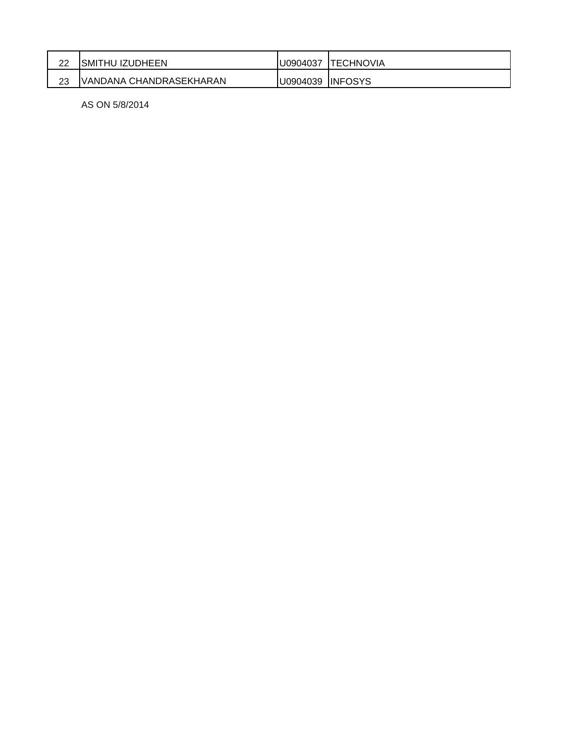| ົ<br>∠∠ | SMITHU IZUDHEEN         | U0904037 | TECHNOVIA      |
|---------|-------------------------|----------|----------------|
| つつ      | VANDANA CHANDRASEKHARAN | U0904039 | <b>INFOSYS</b> |

AS ON 5/8/2014